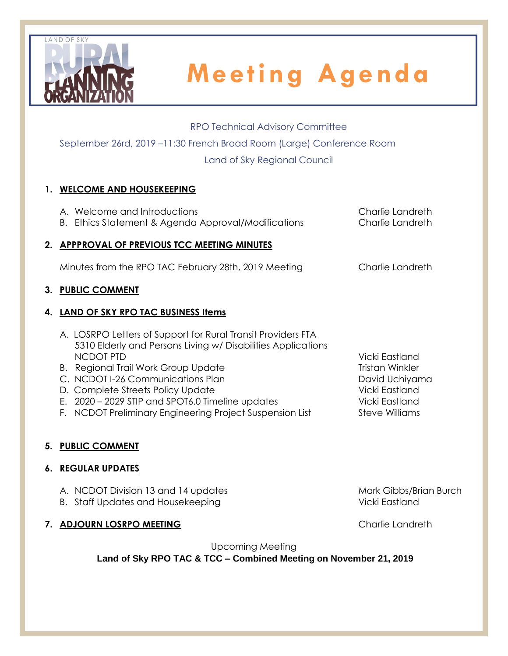

### RPO Technical Advisory Committee

September 26rd, 2019 –11:30 French Broad Room (Large) Conference Room

Land of Sky Regional Council

### **1. WELCOME AND HOUSEKEEPING**

A. Welcome and Introductions Charlie Landreth B. Ethics Statement & Agenda Approval/Modifications Charlie Landreth **2. APPPROVAL OF PREVIOUS TCC MEETING MINUTES** Minutes from the RPO TAC February 28th, 2019 Meeting Charlie Landreth **3. PUBLIC COMMENT 4. LAND OF SKY RPO TAC BUSINESS Items** A. LOSRPO Letters of Support for Rural Transit Providers FTA 5310 Elderly and Persons Living w/ Disabilities Applications NCDOT PTD Vicki Eastland

- B. Regional Trail Work Group Update Tristan Winkler
- C. NCDOT I-26 Communications Plan David Uchiyama
- D. Complete Streets Policy Update Vicki Eastland
- E. 2020 2029 STIP and SPOT6.0 Timeline updates Vicki Eastland
- F. NCDOT Preliminary Engineering Project Suspension List Steve Williams

### **5. PUBLIC COMMENT**

### **6. REGULAR UPDATES**

- A. NCDOT Division 13 and 14 updates Mark Gibbs/Brian Burch
- B. Staff Updates and Housekeeping Vicki Eastland

### **7. ADJOURN LOSRPO MEETING** Charlie Landreth

Upcoming Meeting

**Land of Sky RPO TAC & TCC – Combined Meeting on November 21, 2019**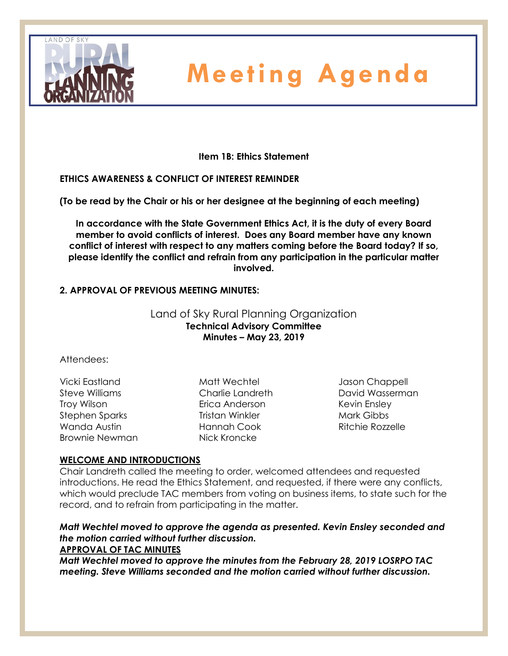

**Item 1B: Ethics Statement**

### **ETHICS AWARENESS & CONFLICT OF INTEREST REMINDER**

**(To be read by the Chair or his or her designee at the beginning of each meeting)** 

**In accordance with the State Government Ethics Act, it is the duty of every Board member to avoid conflicts of interest. Does any Board member have any known conflict of interest with respect to any matters coming before the Board today? If so, please identify the conflict and refrain from any participation in the particular matter involved.**

### **2. APPROVAL OF PREVIOUS MEETING MINUTES:**

### Land of Sky Rural Planning Organization **Technical Advisory Committee Minutes – May 23, 2019**

### Attendees:

Vicki Eastland Steve Williams Troy Wilson Stephen Sparks Wanda Austin Brownie Newman

Matt Wechtel Charlie Landreth Erica Anderson Tristan Winkler Hannah Cook Nick Kroncke

Jason Chappell David Wasserman Kevin Ensley Mark Gibbs Ritchie Rozzelle

### **WELCOME AND INTRODUCTIONS**

Chair Landreth called the meeting to order, welcomed attendees and requested introductions. He read the Ethics Statement, and requested, if there were any conflicts, which would preclude TAC members from voting on business items, to state such for the record, and to refrain from participating in the matter.

#### *Matt Wechtel moved to approve the agenda as presented. Kevin Ensley seconded and the motion carried without further discussion.* **APPROVAL OF TAC MINUTES**

*Matt Wechtel moved to approve the minutes from the February 28, 2019 LOSRPO TAC meeting. Steve Williams seconded and the motion carried without further discussion.*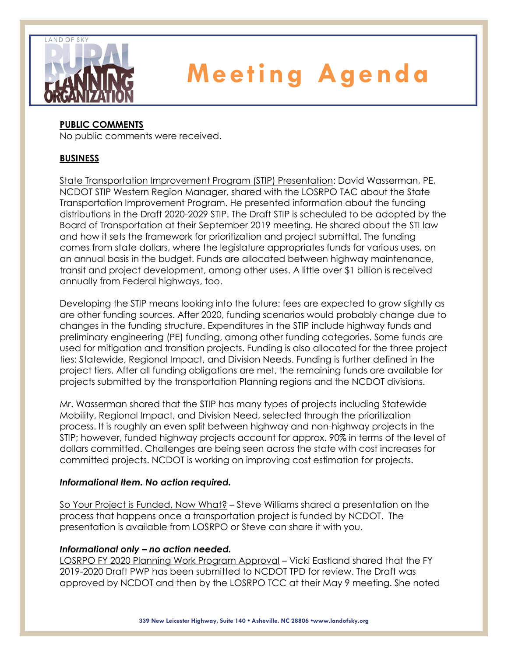

### **PUBLIC COMMENTS**

No public comments were received.

### **BUSINESS**

State Transportation Improvement Program (STIP) Presentation: David Wasserman, PE, NCDOT STIP Western Region Manager, shared with the LOSRPO TAC about the State Transportation Improvement Program. He presented information about the funding distributions in the Draft 2020-2029 STIP. The Draft STIP is scheduled to be adopted by the Board of Transportation at their September 2019 meeting. He shared about the STI law and how it sets the framework for prioritization and project submittal. The funding comes from state dollars, where the legislature appropriates funds for various uses, on an annual basis in the budget. Funds are allocated between highway maintenance, transit and project development, among other uses. A little over \$1 billion is received annually from Federal highways, too.

Developing the STIP means looking into the future: fees are expected to grow slightly as are other funding sources. After 2020, funding scenarios would probably change due to changes in the funding structure. Expenditures in the STIP include highway funds and preliminary engineering (PE) funding, among other funding categories. Some funds are used for mitigation and transition projects. Funding is also allocated for the three project ties: Statewide, Regional Impact, and Division Needs. Funding is further defined in the project tiers. After all funding obligations are met, the remaining funds are available for projects submitted by the transportation Planning regions and the NCDOT divisions.

Mr. Wasserman shared that the STIP has many types of projects including Statewide Mobility, Regional Impact, and Division Need, selected through the prioritization process. It is roughly an even split between highway and non-highway projects in the STIP; however, funded highway projects account for approx. 90% in terms of the level of dollars committed. Challenges are being seen across the state with cost increases for committed projects. NCDOT is working on improving cost estimation for projects.

### *Informational Item. No action required.*

So Your Project is Funded, Now What? – Steve Williams shared a presentation on the process that happens once a transportation project is funded by NCDOT. The presentation is available from LOSRPO or Steve can share it with you.

### *Informational only – no action needed.*

LOSRPO FY 2020 Planning Work Program Approval – Vicki Eastland shared that the FY 2019-2020 Draft PWP has been submitted to NCDOT TPD for review. The Draft was approved by NCDOT and then by the LOSRPO TCC at their May 9 meeting. She noted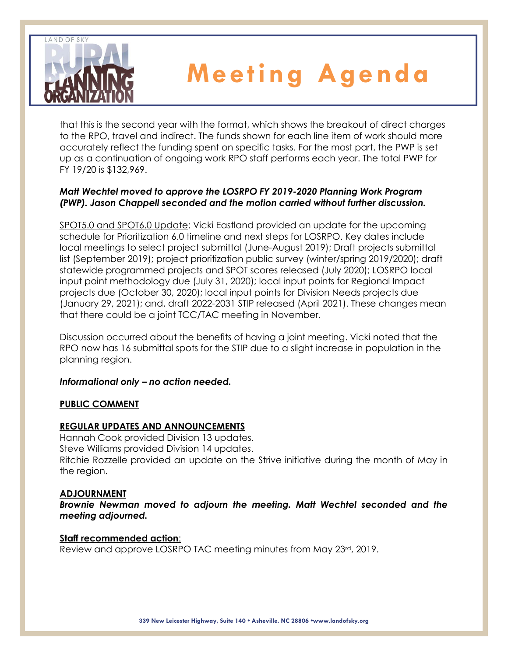

that this is the second year with the format, which shows the breakout of direct charges to the RPO, travel and indirect. The funds shown for each line item of work should more accurately reflect the funding spent on specific tasks. For the most part, the PWP is set up as a continuation of ongoing work RPO staff performs each year. The total PWP for FY 19/20 is \$132,969.

### *Matt Wechtel moved to approve the LOSRPO FY 2019-2020 Planning Work Program (PWP). Jason Chappell seconded and the motion carried without further discussion.*

SPOT5.0 and SPOT6.0 Update: Vicki Eastland provided an update for the upcoming schedule for Prioritization 6.0 timeline and next steps for LOSRPO. Key dates include local meetings to select project submittal (June-August 2019); Draft projects submittal list (September 2019); project prioritization public survey (winter/spring 2019/2020); draft statewide programmed projects and SPOT scores released (July 2020); LOSRPO local input point methodology due (July 31, 2020); local input points for Regional Impact projects due (October 30, 2020); local input points for Division Needs projects due (January 29, 2021); and, draft 2022-2031 STIP released (April 2021). These changes mean that there could be a joint TCC/TAC meeting in November.

Discussion occurred about the benefits of having a joint meeting. Vicki noted that the RPO now has 16 submittal spots for the STIP due to a slight increase in population in the planning region.

### *Informational only – no action needed.*

### **PUBLIC COMMENT**

### **REGULAR UPDATES AND ANNOUNCEMENTS**

Hannah Cook provided Division 13 updates. Steve Williams provided Division 14 updates. Ritchie Rozzelle provided an update on the Strive initiative during the month of May in the region.

### **ADJOURNMENT**

*Brownie Newman moved to adjourn the meeting. Matt Wechtel seconded and the meeting adjourned.*

### **Staff recommended action**:

Review and approve LOSRPO TAC meeting minutes from May 23rd, 2019.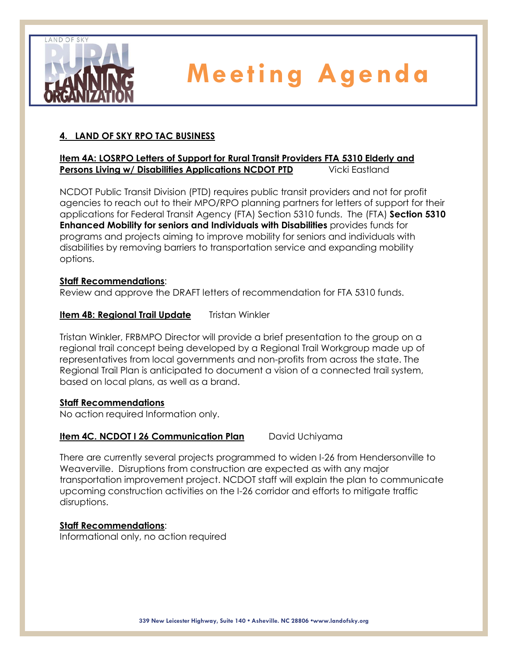

### **4. LAND OF SKY RPO TAC BUSINESS**

### **Item 4A: LOSRPO Letters of Support for Rural Transit Providers FTA 5310 Elderly and Persons Living w/ Disabilities Applications NCDOT PTD** Vicki Eastland

NCDOT Public Transit Division (PTD) requires public transit providers and not for profit agencies to reach out to their MPO/RPO planning partners for letters of support for their applications for Federal Transit Agency (FTA) Section 5310 funds. The (FTA) **Section 5310 Enhanced Mobility for seniors and Individuals with Disabilities** provides funds for programs and projects aiming to improve mobility for seniors and individuals with disabilities by removing barriers to transportation service and expanding mobility options.

### **Staff Recommendations**:

Review and approve the DRAFT letters of recommendation for FTA 5310 funds.

### **Item 4B: Regional Trail Update** Tristan Winkler

Tristan Winkler, FRBMPO Director will provide a brief presentation to the group on a regional trail concept being developed by a Regional Trail Workgroup made up of representatives from local governments and non-profits from across the state. The Regional Trail Plan is anticipated to document a vision of a connected trail system, based on local plans, as well as a brand.

### **Staff Recommendations**

No action required Information only.

### **Item 4C. NCDOT I 26 Communication Plan** David Uchiyama

There are currently several projects programmed to widen I-26 from Hendersonville to Weaverville. Disruptions from construction are expected as with any major transportation improvement project. NCDOT staff will explain the plan to communicate upcoming construction activities on the I-26 corridor and efforts to mitigate traffic disruptions.

### **Staff Recommendations**:

Informational only, no action required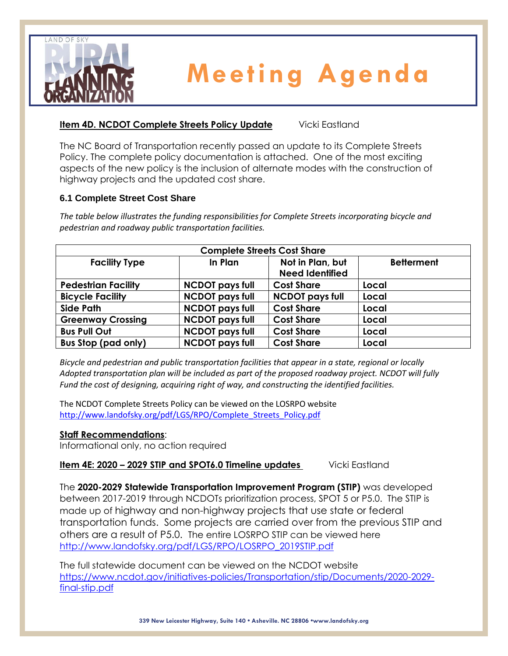

### **Item 4D. NCDOT Complete Streets Policy Update** Vicki Eastland

The NC Board of Transportation recently passed an update to its Complete Streets Policy. The complete policy documentation is attached. One of the most exciting aspects of the new policy is the inclusion of alternate modes with the construction of highway projects and the updated cost share.

### **6.1 Complete Street Cost Share**

*The table below illustrates the funding responsibilities for Complete Streets incorporating bicycle and pedestrian and roadway public transportation facilities.*

| <b>Complete Streets Cost Share</b> |                        |                                            |                   |  |  |  |  |
|------------------------------------|------------------------|--------------------------------------------|-------------------|--|--|--|--|
| <b>Facility Type</b>               | In Plan                | Not in Plan, but<br><b>Need Identified</b> | <b>Betterment</b> |  |  |  |  |
| <b>Pedestrian Facility</b>         | <b>NCDOT pays full</b> | <b>Cost Share</b>                          | Local             |  |  |  |  |
| <b>Bicycle Facility</b>            | <b>NCDOT pays full</b> | <b>NCDOT pays full</b>                     | Local             |  |  |  |  |
| <b>Side Path</b>                   | <b>NCDOT pays full</b> | <b>Cost Share</b>                          | Local             |  |  |  |  |
| <b>Greenway Crossing</b>           | <b>NCDOT pays full</b> | <b>Cost Share</b>                          | Local             |  |  |  |  |
| <b>Bus Pull Out</b>                | <b>NCDOT pays full</b> | <b>Cost Share</b>                          | Local             |  |  |  |  |
| <b>Bus Stop (pad only)</b>         | <b>NCDOT pays full</b> | <b>Cost Share</b>                          | Local             |  |  |  |  |

*Bicycle and pedestrian and public transportation facilities that appear in a state, regional or locally Adopted transportation plan will be included as part of the proposed roadway project. NCDOT will fully Fund the cost of designing, acquiring right of way, and constructing the identified facilities.*

The NCDOT Complete Streets Policy can be viewed on the LOSRPO website [http://www.landofsky.org/pdf/LGS/RPO/Complete\\_Streets\\_Policy.pdf](http://www.landofsky.org/pdf/LGS/RPO/Complete_Streets_Policy.pdf)

### **Staff Recommendations**:

Informational only, no action required

**Item 4E: 2020 - 2029 STIP and SPOT6.0 Timeline updates** Vicki Eastland

The **2020-2029 Statewide Transportation Improvement Program (STIP)** was developed between 2017-2019 through NCDOTs prioritization process, SPOT 5 or P5.0. The STIP is made up of highway and non-highway projects that use state or federal transportation funds. Some projects are carried over from the previous STIP and others are a result of P5.0. The entire LOSRPO STIP can be viewed here [http://www.landofsky.org/pdf/LGS/RPO/LOSRPO\\_2019STIP.pdf](http://www.landofsky.org/pdf/LGS/RPO/LOSRPO_2019STIP.pdf)

The full statewide document can be viewed on the NCDOT website [https://www.ncdot.gov/initiatives-policies/Transportation/stip/Documents/2020-2029](https://www.ncdot.gov/initiatives-policies/Transportation/stip/Documents/2020-2029-final-stip.pdf) [final-stip.pdf](https://www.ncdot.gov/initiatives-policies/Transportation/stip/Documents/2020-2029-final-stip.pdf)

**339 New Leicester Highway, Suite 140 • Asheville. NC 28806 •www.landofsky.org**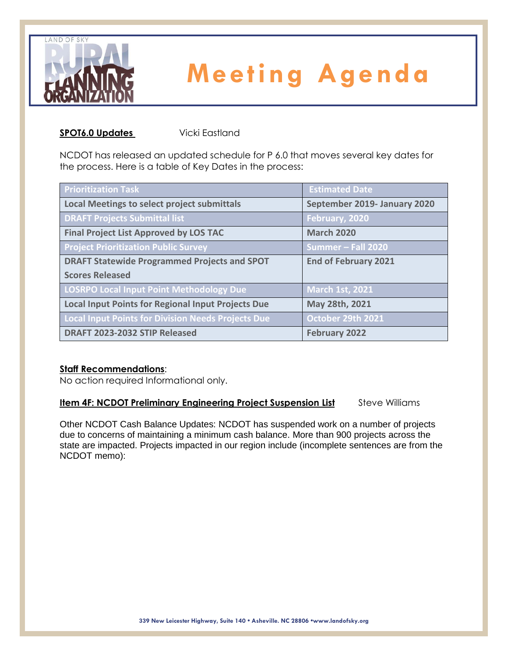

#### **SPOT6.0 Updates Vicki Eastland**

NCDOT has released an updated schedule for P 6.0 that moves several key dates for the process. Here is a table of Key Dates in the process:

| <b>Prioritization Task</b>                                | <b>Estimated Date</b>        |
|-----------------------------------------------------------|------------------------------|
| <b>Local Meetings to select project submittals</b>        | September 2019- January 2020 |
| <b>DRAFT Projects Submittal list</b>                      | February, 2020               |
| <b>Final Project List Approved by LOS TAC</b>             | <b>March 2020</b>            |
| <b>Project Prioritization Public Survey</b>               | Summer - Fall 2020           |
| <b>DRAFT Statewide Programmed Projects and SPOT</b>       | <b>End of February 2021</b>  |
| <b>Scores Released</b>                                    |                              |
| <b>LOSRPO Local Input Point Methodology Due</b>           | <b>March 1st, 2021</b>       |
| <b>Local Input Points for Regional Input Projects Due</b> | May 28th, 2021               |
| <b>Local Input Points for Division Needs Projects Due</b> | October 29th 2021            |
| DRAFT 2023-2032 STIP Released                             | <b>February 2022</b>         |

### **Staff Recommendations**:

No action required Informational only.

### **Item 4F: NCDOT Preliminary Engineering Project Suspension List** Steve Williams

Other NCDOT Cash Balance Updates: NCDOT has suspended work on a number of projects due to concerns of maintaining a minimum cash balance. More than 900 projects across the state are impacted. Projects impacted in our region include (incomplete sentences are from the NCDOT memo):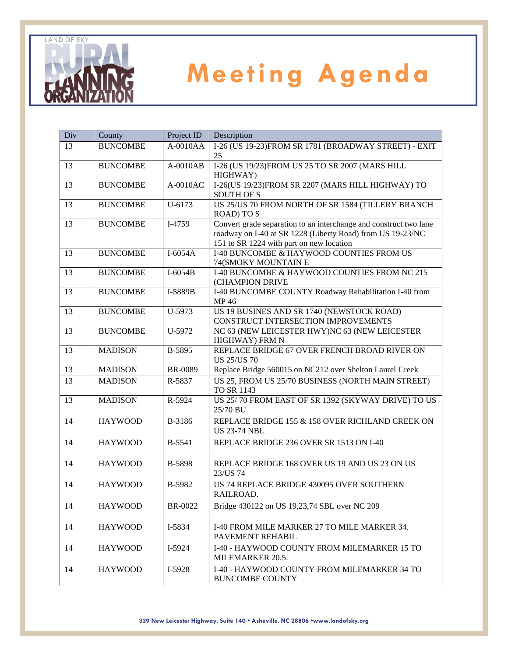

| Div | County          | Project ID    | Description                                                                                                                                                                 |
|-----|-----------------|---------------|-----------------------------------------------------------------------------------------------------------------------------------------------------------------------------|
| 13  | <b>BUNCOMBE</b> | $A-0010AA$    | I-26 (US 19-23)FROM SR 1781 (BROADWAY STREET) - EXIT<br>25                                                                                                                  |
| 13  | <b>BUNCOMBE</b> | $A-0010AB$    | I-26 (US 19/23)FROM US 25 TO SR 2007 (MARS HILL<br>HIGHWAY)                                                                                                                 |
| 13  | <b>BUNCOMBE</b> | A-0010AC      | I-26(US 19/23)FROM SR 2207 (MARS HILL HIGHWAY) TO<br><b>SOUTH OF S</b>                                                                                                      |
| 13  | <b>BUNCOMBE</b> | U-6173        | US 25/US 70 FROM NORTH OF SR 1584 (TILLERY BRANCH<br><b>ROAD) TO S</b>                                                                                                      |
| 13  | <b>BUNCOMBE</b> | I-4759        | Convert grade separation to an interchange and construct two lane<br>roadway on I-40 at SR 1228 (Liberty Road) from US 19-23/NC<br>151 to SR 1224 with part on new location |
| 13  | <b>BUNCOMBE</b> | $I-6054A$     | I-40 BUNCOMBE & HAYWOOD COUNTIES FROM US<br>74(SMOKY MOUNTAIN E                                                                                                             |
| 13  | <b>BUNCOMBE</b> | $I-6054B$     | I-40 BUNCOMBE & HAYWOOD COUNTIES FROM NC 215<br>(CHAMPION DRIVE                                                                                                             |
| 13  | <b>BUNCOMBE</b> | I-5889B       | I-40 BUNCOMBE COUNTY Roadway Rehabilitation I-40 from<br>MP 46                                                                                                              |
| 13  | <b>BUNCOMBE</b> | U-5973        | US 19 BUSINES AND SR 1740 (NEWSTOCK ROAD)<br>CONSTRUCT INTERSECTION IMPROVEMENTS                                                                                            |
| 13  | <b>BUNCOMBE</b> | U-5972        | NC 63 (NEW LEICESTER HWY)NC 63 (NEW LEICESTER<br>HIGHWAY) FRM N                                                                                                             |
| 13  | <b>MADISON</b>  | B-5895        | REPLACE BRIDGE 67 OVER FRENCH BROAD RIVER ON<br><b>US 25/US 70</b>                                                                                                          |
| 13  | <b>MADISON</b>  | BR-0089       | Replace Bridge 560015 on NC212 over Shelton Laurel Creek                                                                                                                    |
| 13  | <b>MADISON</b>  | R-5837        | US 25, FROM US 25/70 BUSINESS (NORTH MAIN STREET)<br>TO SR 1143                                                                                                             |
| 13  | <b>MADISON</b>  | R-5924        | US 25/70 FROM EAST OF SR 1392 (SKYWAY DRIVE) TO US<br>25/70 BU                                                                                                              |
| 14  | <b>HAYWOOD</b>  | B-3186        | REPLACE BRIDGE 155 & 158 OVER RICHLAND CREEK ON<br><b>US 23-74 NBL</b>                                                                                                      |
| 14  | <b>HAYWOOD</b>  | <b>B-5541</b> | REPLACE BRIDGE 236 OVER SR 1513 ON I-40                                                                                                                                     |
| 14  | <b>HAYWOOD</b>  | <b>B-5898</b> | REPLACE BRIDGE 168 OVER US 19 AND US 23 ON US<br>23/US 74                                                                                                                   |
| 14  | <b>HAYWOOD</b>  | B-5982        | US 74 REPLACE BRIDGE 430095 OVER SOUTHERN<br>RAILROAD.                                                                                                                      |
| 14  | <b>HAYWOOD</b>  | BR-0022       | Bridge 430122 on US 19,23,74 SBL over NC 209                                                                                                                                |
| 14  | <b>HAYWOOD</b>  | I-5834        | I-40 FROM MILE MARKER 27 TO MILE MARKER 34.<br>PAVEMENT REHABIL                                                                                                             |
| 14  | <b>HAYWOOD</b>  | I-5924        | I-40 - HAYWOOD COUNTY FROM MILEMARKER 15 TO<br>MILEMARKER 20.5.                                                                                                             |
| 14  | <b>HAYWOOD</b>  | I-5928        | I-40 - HAYWOOD COUNTY FROM MILEMARKER 34 TO<br><b>BUNCOMBE COUNTY</b>                                                                                                       |

**339 New Leicester Highway, Suite 140 • Asheville. NC 28806 •www.landofsky.org**